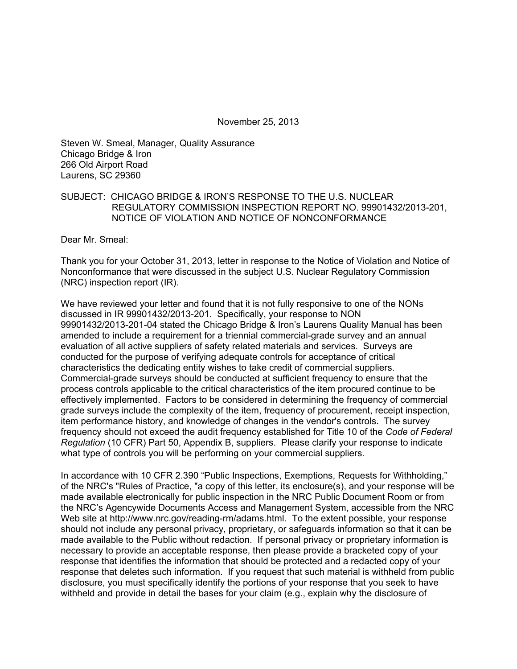November 25, 2013

Steven W. Smeal, Manager, Quality Assurance Chicago Bridge & Iron 266 Old Airport Road Laurens, SC 29360

## SUBJECT: CHICAGO BRIDGE & IRON'S RESPONSE TO THE U.S. NUCLEAR REGULATORY COMMISSION INSPECTION REPORT NO. 99901432/2013-201, NOTICE OF VIOLATION AND NOTICE OF NONCONFORMANCE

Dear Mr. Smeal:

Thank you for your October 31, 2013, letter in response to the Notice of Violation and Notice of Nonconformance that were discussed in the subject U.S. Nuclear Regulatory Commission (NRC) inspection report (IR).

We have reviewed your letter and found that it is not fully responsive to one of the NONs discussed in IR 99901432/2013-201. Specifically, your response to NON 99901432/2013-201-04 stated the Chicago Bridge & Iron's Laurens Quality Manual has been amended to include a requirement for a triennial commercial-grade survey and an annual evaluation of all active suppliers of safety related materials and services. Surveys are conducted for the purpose of verifying adequate controls for acceptance of critical characteristics the dedicating entity wishes to take credit of commercial suppliers. Commercial-grade surveys should be conducted at sufficient frequency to ensure that the process controls applicable to the critical characteristics of the item procured continue to be effectively implemented. Factors to be considered in determining the frequency of commercial grade surveys include the complexity of the item, frequency of procurement, receipt inspection, item performance history, and knowledge of changes in the vendor's controls. The survey frequency should not exceed the audit frequency established for Title 10 of the *Code of Federal Regulation* (10 CFR) Part 50, Appendix B, suppliers. Please clarify your response to indicate what type of controls you will be performing on your commercial suppliers.

In accordance with 10 CFR 2.390 "Public Inspections, Exemptions, Requests for Withholding," of the NRC's "Rules of Practice, "a copy of this letter, its enclosure(s), and your response will be made available electronically for public inspection in the NRC Public Document Room or from the NRC's Agencywide Documents Access and Management System, accessible from the NRC Web site at http://www.nrc.gov/reading-rm/adams.html. To the extent possible, your response should not include any personal privacy, proprietary, or safeguards information so that it can be made available to the Public without redaction. If personal privacy or proprietary information is necessary to provide an acceptable response, then please provide a bracketed copy of your response that identifies the information that should be protected and a redacted copy of your response that deletes such information. If you request that such material is withheld from public disclosure, you must specifically identify the portions of your response that you seek to have withheld and provide in detail the bases for your claim (e.g., explain why the disclosure of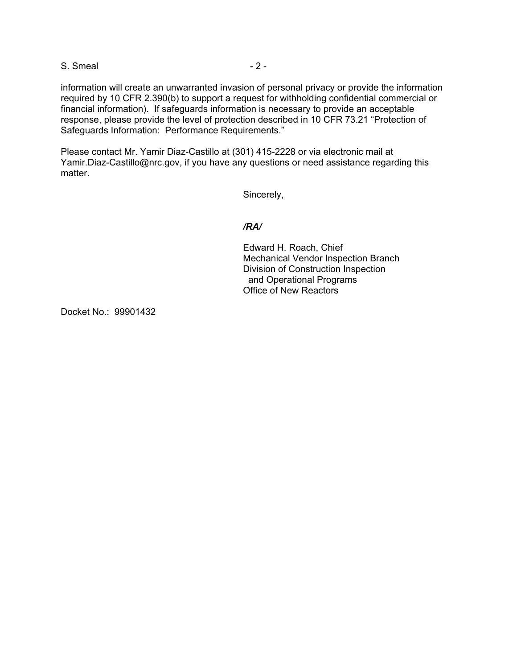S. Smeal  $-2$  -

information will create an unwarranted invasion of personal privacy or provide the information required by 10 CFR 2.390(b) to support a request for withholding confidential commercial or financial information). If safeguards information is necessary to provide an acceptable response, please provide the level of protection described in 10 CFR 73.21 "Protection of Safeguards Information: Performance Requirements."

Please contact Mr. Yamir Diaz-Castillo at (301) 415-2228 or via electronic mail at Yamir.Diaz-Castillo@nrc.gov, if you have any questions or need assistance regarding this matter.

Sincerely,

### */RA/*

Edward H. Roach, Chief Mechanical Vendor Inspection Branch Division of Construction Inspection and Operational Programs Office of New Reactors

Docket No.: 99901432